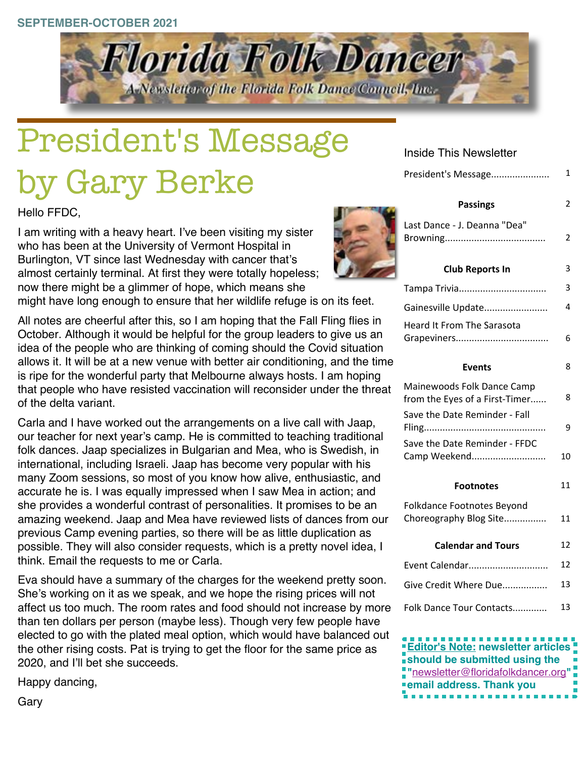#### **SEPTEMBER-OCTOBER 2021**



# President's Message by Gary Berke

Hello FFDC,

I am writing with a heavy heart. I've been visiting my sister who has been at the University of Vermont Hospital in Burlington, VT since last Wednesday with cancer that's almost certainly terminal. At first they were totally hopeless; now there might be a glimmer of hope, which means she

might have long enough to ensure that her wildlife refuge is on its feet.

All notes are cheerful after this, so I am hoping that the Fall Fling flies in October. Although it would be helpful for the group leaders to give us an idea of the people who are thinking of coming should the Covid situation allows it. It will be at a new venue with better air conditioning, and the time is ripe for the wonderful party that Melbourne always hosts. I am hoping that people who have resisted vaccination will reconsider under the threat of the delta variant.

Carla and I have worked out the arrangements on a live call with Jaap, our teacher for next year's camp. He is committed to teaching traditional folk dances. Jaap specializes in Bulgarian and Mea, who is Swedish, in international, including Israeli. Jaap has become very popular with his many Zoom sessions, so most of you know how alive, enthusiastic, and accurate he is. I was equally impressed when I saw Mea in action; and she provides a wonderful contrast of personalities. It promises to be an amazing weekend. Jaap and Mea have reviewed lists of dances from our previous Camp evening parties, so there will be as little duplication as possible. They will also consider requests, which is a pretty novel idea, I think. Email the requests to me or Carla.

Eva should have a summary of the charges for the weekend pretty soon. She's working on it as we speak, and we hope the rising prices will not affect us too much. The room rates and food should not increase by more than ten dollars per person (maybe less). Though very few people have elected to go with the plated meal option, which would have balanced out the other rising costs. Pat is trying to get the floor for the same price as 2020, and I'll bet she succeeds.

Happy dancing,

Inside This Newsletter

| President's Message |  |
|---------------------|--|
|---------------------|--|

| <b>Passings</b>                                              | 2  |
|--------------------------------------------------------------|----|
| Last Dance - J. Deanna "Dea"                                 | 2  |
| <b>Club Reports In</b>                                       | 3  |
| Tampa Trivia                                                 | 3  |
| Gainesville Update                                           | 4  |
| <b>Heard It From The Sarasota</b>                            | 6  |
| <b>Events</b>                                                | 8  |
| Mainewoods Folk Dance Camp<br>from the Eyes of a First-Timer | 8  |
| Save the Date Reminder - Fall                                | 9  |
| Save the Date Reminder - FFDC<br>Camp Weekend                | 10 |
| <b>Footnotes</b>                                             | 11 |
| Folkdance Footnotes Beyond<br>Choreography Blog Site         | 11 |
| <b>Calendar and Tours</b>                                    | 12 |
| Event Calendar                                               | 12 |
| Give Credit Where Due                                        | 13 |
| Folk Dance Tour Contacts                                     | 13 |
|                                                              |    |

| <b>Editor's Note: newsletter articles !</b> |
|---------------------------------------------|
| should be submitted using the               |
| "newsletter@floridafolkdancer.org"          |
| email address. Thank you                    |
| n n                                         |



Gary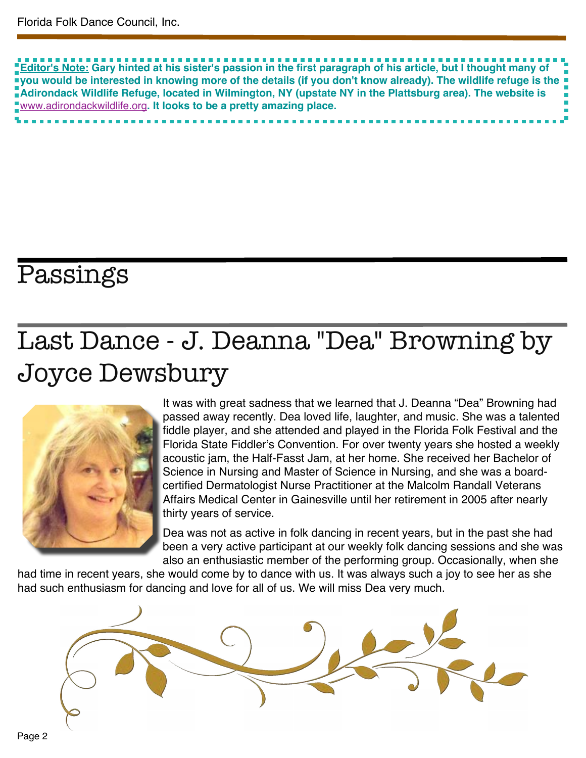Editor's Note: Gary hinted at his sister's passion in the first paragraph of his article, but I thought many of vou would be interested in knowing more of the details (if you don't know already). The wildlife refuge is the **Adirondack Wildlife Refuge, located in Wilmington, NY (upstate NY in the Plattsburg area). The website is** [www.adirondackwildlife.org](http://www.adirondackwildlife.org)**. It looks to be a pretty amazing place.**

## Passings

## Last Dance - J. Deanna "Dea" Browning by Joyce Dewsbury



It was with great sadness that we learned that J. Deanna "Dea" Browning had passed away recently. Dea loved life, laughter, and music. She was a talented fiddle player, and she attended and played in the Florida Folk Festival and the Florida State Fiddler's Convention. For over twenty years she hosted a weekly acoustic jam, the Half-Fasst Jam, at her home. She received her Bachelor of Science in Nursing and Master of Science in Nursing, and she was a boardcertified Dermatologist Nurse Practitioner at the Malcolm Randall Veterans Affairs Medical Center in Gainesville until her retirement in 2005 after nearly thirty years of service.

Dea was not as active in folk dancing in recent years, but in the past she had been a very active participant at our weekly folk dancing sessions and she was also an enthusiastic member of the performing group. Occasionally, when she

had time in recent years, she would come by to dance with us. It was always such a joy to see her as she had such enthusiasm for dancing and love for all of us. We will miss Dea very much.

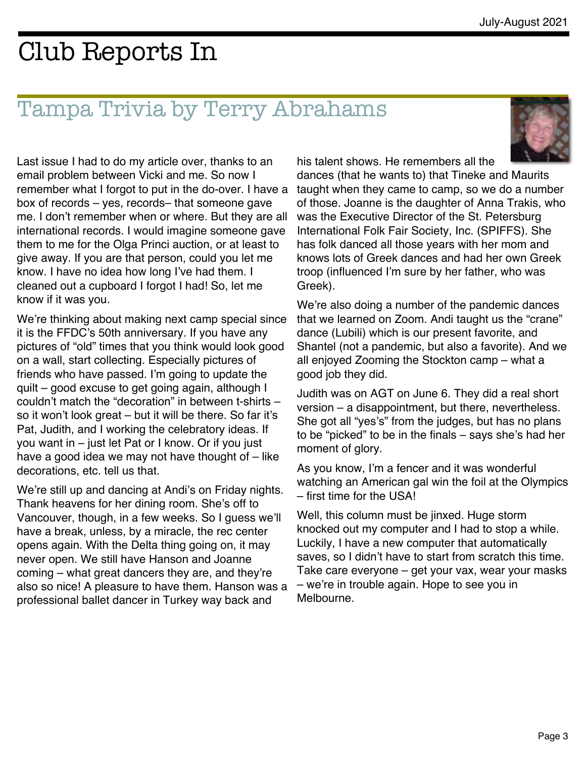## Club Reports In

#### Tampa Trivia by Terry Abrahams



Last issue I had to do my article over, thanks to an email problem between Vicki and me. So now I remember what I forgot to put in the do-over. I have a box of records – yes, records– that someone gave me. I don't remember when or where. But they are all international records. I would imagine someone gave them to me for the Olga Princi auction, or at least to give away. If you are that person, could you let me know. I have no idea how long I've had them. I cleaned out a cupboard I forgot I had! So, let me know if it was you.

We're thinking about making next camp special since it is the FFDC's 50th anniversary. If you have any pictures of "old" times that you think would look good on a wall, start collecting. Especially pictures of friends who have passed. I'm going to update the quilt – good excuse to get going again, although I couldn't match the "decoration" in between t-shirts – so it won't look great – but it will be there. So far it's Pat, Judith, and I working the celebratory ideas. If you want in – just let Pat or I know. Or if you just have a good idea we may not have thought of – like decorations, etc. tell us that.

We're still up and dancing at Andi's on Friday nights. Thank heavens for her dining room. She's off to Vancouver, though, in a few weeks. So I guess we'll have a break, unless, by a miracle, the rec center opens again. With the Delta thing going on, it may never open. We still have Hanson and Joanne coming – what great dancers they are, and they're also so nice! A pleasure to have them. Hanson was a professional ballet dancer in Turkey way back and

his talent shows. He remembers all the dances (that he wants to) that Tineke and Maurits taught when they came to camp, so we do a number of those. Joanne is the daughter of Anna Trakis, who was the Executive Director of the St. Petersburg International Folk Fair Society, Inc. (SPIFFS). She has folk danced all those years with her mom and knows lots of Greek dances and had her own Greek troop (influenced I'm sure by her father, who was Greek).

We're also doing a number of the pandemic dances that we learned on Zoom. Andi taught us the "crane" dance (Lubili) which is our present favorite, and Shantel (not a pandemic, but also a favorite). And we all enjoyed Zooming the Stockton camp – what a good job they did.

Judith was on AGT on June 6. They did a real short version – a disappointment, but there, nevertheless. She got all "yes's" from the judges, but has no plans to be "picked" to be in the finals – says she's had her moment of glory.

As you know, I'm a fencer and it was wonderful watching an American gal win the foil at the Olympics – first time for the USA!

Well, this column must be jinxed. Huge storm knocked out my computer and I had to stop a while. Luckily, I have a new computer that automatically saves, so I didn't have to start from scratch this time. Take care everyone – get your vax, wear your masks – we're in trouble again. Hope to see you in Melbourne.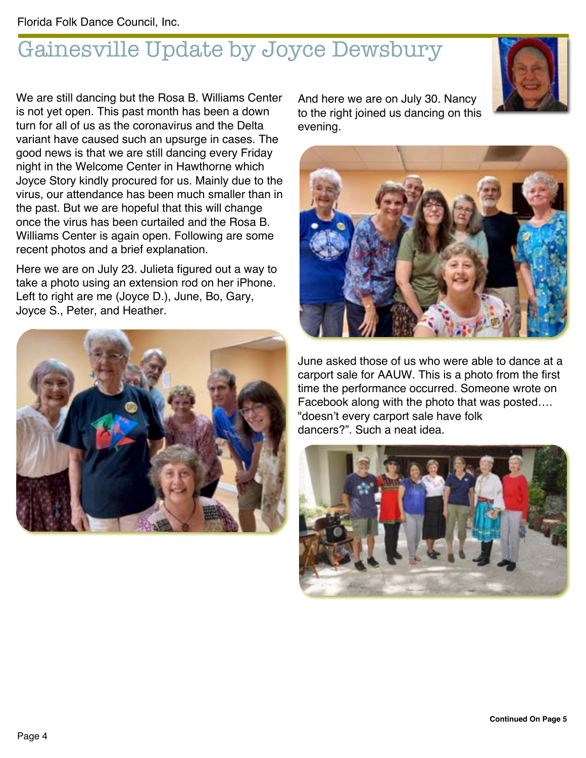## Gainesville Update by Joyce Dewsbury

We are still dancing but the Rosa B. Williams Center is not yet open. This past month has been a down turn for all of us as the coronavirus and the Delta variant have caused such an upsurge in cases. The good news is that we are still dancing every Friday night in the Welcome Center in Hawthorne which Joyce Story kindly procured for us. Mainly due to the virus, our attendance has been much smaller than in the past. But we are hopeful that this will change once the virus has been curtailed and the Rosa B. Williams Center is again open. Following are some recent photos and a brief explanation.

Here we are on July 23. Julieta figured out a way to take a photo using an extension rod on her iPhone. Left to right are me (Joyce D.), June, Bo, Gary, Joyce S., Peter, and Heather.



And here we are on July 30. Nancy to the right joined us dancing on this evening.



June asked those of us who were able to dance at a carport sale for AAUW. This is a photo from the first time the performance occurred. Someone wrote on Facebook along with the photo that was posted…. "doesn't every carport sale have folk dancers?". Such a neat idea.



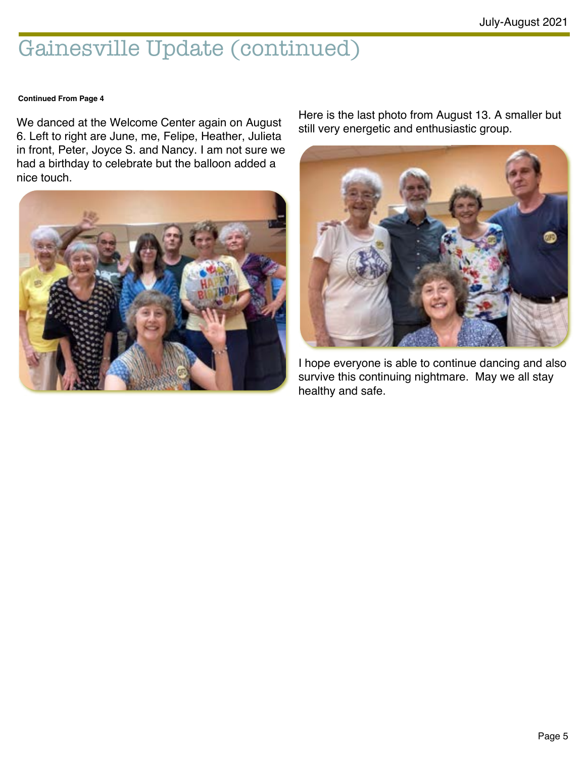### Gainesville Update (continued)

#### **Continued From Page 4**

We danced at the Welcome Center again on August 6. Left to right are June, me, Felipe, Heather, Julieta in front, Peter, Joyce S. and Nancy. I am not sure we had a birthday to celebrate but the balloon added a nice touch.



Here is the last photo from August 13. A smaller but still very energetic and enthusiastic group.



I hope everyone is able to continue dancing and also survive this continuing nightmare. May we all stay healthy and safe.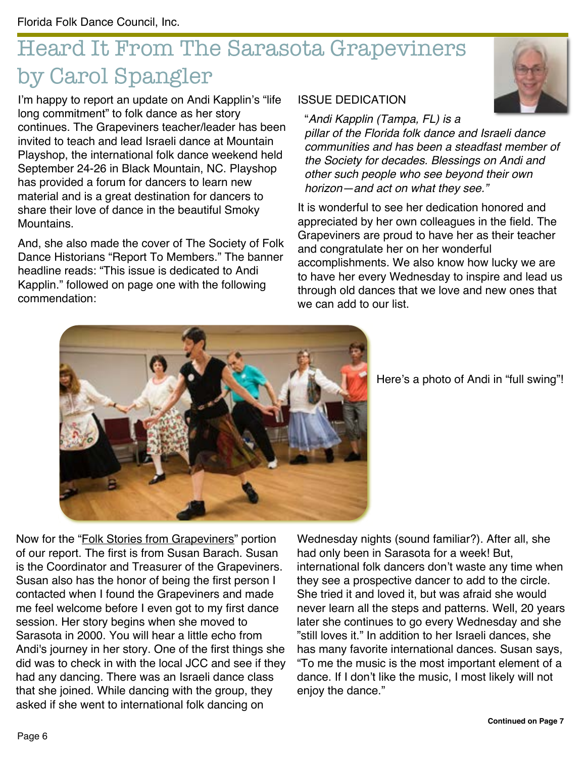## Heard It From The Sarasota Grapeviners by Carol Spangler

I'm happy to report an update on Andi Kapplin's "life long commitment" to folk dance as her story continues. The Grapeviners teacher/leader has been invited to teach and lead Israeli dance at Mountain Playshop, the international folk dance weekend held September 24-26 in Black Mountain, NC. Playshop has provided a forum for dancers to learn new material and is a great destination for dancers to share their love of dance in the beautiful Smoky **Mountains** 

And, she also made the cover of The Society of Folk Dance Historians "Report To Members." The banner headline reads: "This issue is dedicated to Andi Kapplin." followed on page one with the following commendation:

#### ISSUE DEDICATION

"*Andi Kapplin (Tampa, FL) is a*

*pillar of the Florida folk dance and Israeli dance communities and has been a steadfast member of the Society for decades. Blessings on Andi and other such people who see beyond their own horizon—and act on what they see."*

It is wonderful to see her dedication honored and appreciated by her own colleagues in the field. The Grapeviners are proud to have her as their teacher and congratulate her on her wonderful accomplishments. We also know how lucky we are to have her every Wednesday to inspire and lead us through old dances that we love and new ones that we can add to our list.



Here's a photo of Andi in "full swing"!

Now for the "Folk Stories from Grapeviners" portion of our report. The first is from Susan Barach. Susan is the Coordinator and Treasurer of the Grapeviners. Susan also has the honor of being the first person I contacted when I found the Grapeviners and made me feel welcome before I even got to my first dance session. Her story begins when she moved to Sarasota in 2000. You will hear a little echo from Andi's journey in her story. One of the first things she did was to check in with the local JCC and see if they had any dancing. There was an Israeli dance class that she joined. While dancing with the group, they asked if she went to international folk dancing on

Wednesday nights (sound familiar?). After all, she had only been in Sarasota for a week! But, international folk dancers don't waste any time when they see a prospective dancer to add to the circle. She tried it and loved it, but was afraid she would never learn all the steps and patterns. Well, 20 years later she continues to go every Wednesday and she "still loves it." In addition to her Israeli dances, she has many favorite international dances. Susan says, "To me the music is the most important element of a dance. If I don't like the music, I most likely will not enjoy the dance."

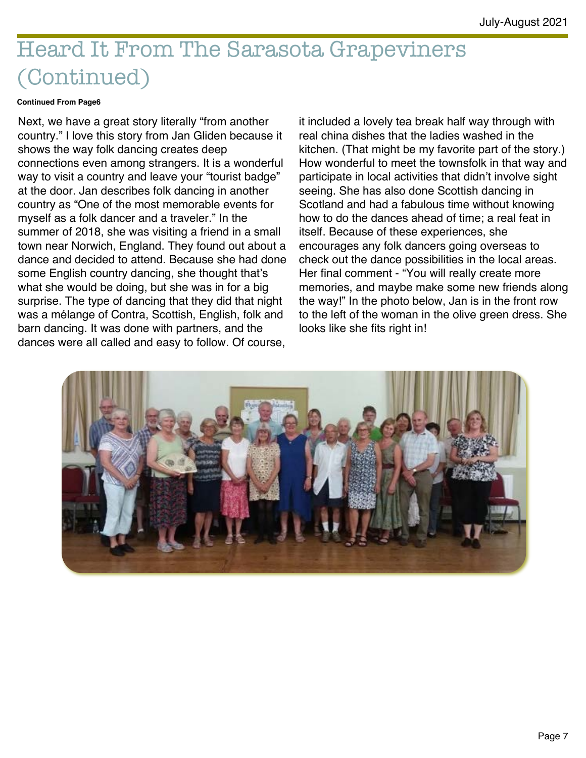## Heard It From The Sarasota Grapeviners (Continued)

#### **Continued From Page6**

Next, we have a great story literally "from another country." I love this story from Jan Gliden because it shows the way folk dancing creates deep connections even among strangers. It is a wonderful way to visit a country and leave your "tourist badge" at the door. Jan describes folk dancing in another country as "One of the most memorable events for myself as a folk dancer and a traveler." In the summer of 2018, she was visiting a friend in a small town near Norwich, England. They found out about a dance and decided to attend. Because she had done some English country dancing, she thought that's what she would be doing, but she was in for a big surprise. The type of dancing that they did that night was a mélange of Contra, Scottish, English, folk and barn dancing. It was done with partners, and the dances were all called and easy to follow. Of course,

it included a lovely tea break half way through with real china dishes that the ladies washed in the kitchen. (That might be my favorite part of the story.) How wonderful to meet the townsfolk in that way and participate in local activities that didn't involve sight seeing. She has also done Scottish dancing in Scotland and had a fabulous time without knowing how to do the dances ahead of time; a real feat in itself. Because of these experiences, she encourages any folk dancers going overseas to check out the dance possibilities in the local areas. Her final comment - "You will really create more memories, and maybe make some new friends along the way!" In the photo below, Jan is in the front row to the left of the woman in the olive green dress. She looks like she fits right in!

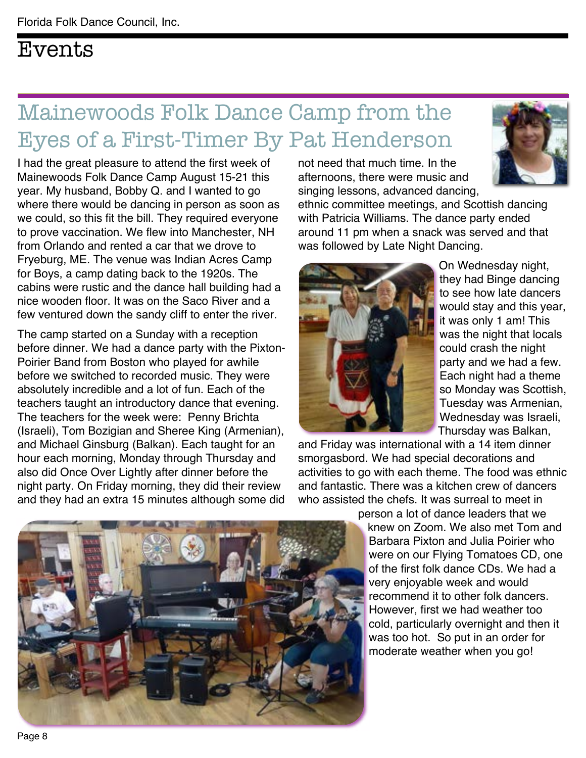### Events

## Mainewoods Folk Dance Camp from the Eyes of a First-Timer By Pat Henderson

I had the great pleasure to attend the first week of Mainewoods Folk Dance Camp August 15-21 this year. My husband, Bobby Q. and I wanted to go where there would be dancing in person as soon as we could, so this fit the bill. They required everyone to prove vaccination. We flew into Manchester, NH from Orlando and rented a car that we drove to Fryeburg, ME. The venue was Indian Acres Camp for Boys, a camp dating back to the 1920s. The cabins were rustic and the dance hall building had a nice wooden floor. It was on the Saco River and a few ventured down the sandy cliff to enter the river.

The camp started on a Sunday with a reception before dinner. We had a dance party with the Pixton-Poirier Band from Boston who played for awhile before we switched to recorded music. They were absolutely incredible and a lot of fun. Each of the teachers taught an introductory dance that evening. The teachers for the week were: Penny Brichta (Israeli), Tom Bozigian and Sheree King (Armenian), and Michael Ginsburg (Balkan). Each taught for an hour each morning, Monday through Thursday and also did Once Over Lightly after dinner before the night party. On Friday morning, they did their review and they had an extra 15 minutes although some did

not need that much time. In the afternoons, there were music and singing lessons, advanced dancing,



ethnic committee meetings, and Scottish dancing with Patricia Williams. The dance party ended around 11 pm when a snack was served and that was followed by Late Night Dancing.



On Wednesday night, they had Binge dancing to see how late dancers would stay and this year, it was only 1 am! This was the night that locals could crash the night party and we had a few. Each night had a theme so Monday was Scottish, Tuesday was Armenian, Wednesday was Israeli, Thursday was Balkan,

and Friday was international with a 14 item dinner smorgasbord. We had special decorations and activities to go with each theme. The food was ethnic and fantastic. There was a kitchen crew of dancers who assisted the chefs. It was surreal to meet in

person a lot of dance leaders that we knew on Zoom. We also met Tom and Barbara Pixton and Julia Poirier who were on our Flying Tomatoes CD, one of the first folk dance CDs. We had a very enjoyable week and would recommend it to other folk dancers. However, first we had weather too cold, particularly overnight and then it was too hot. So put in an order for moderate weather when you go!

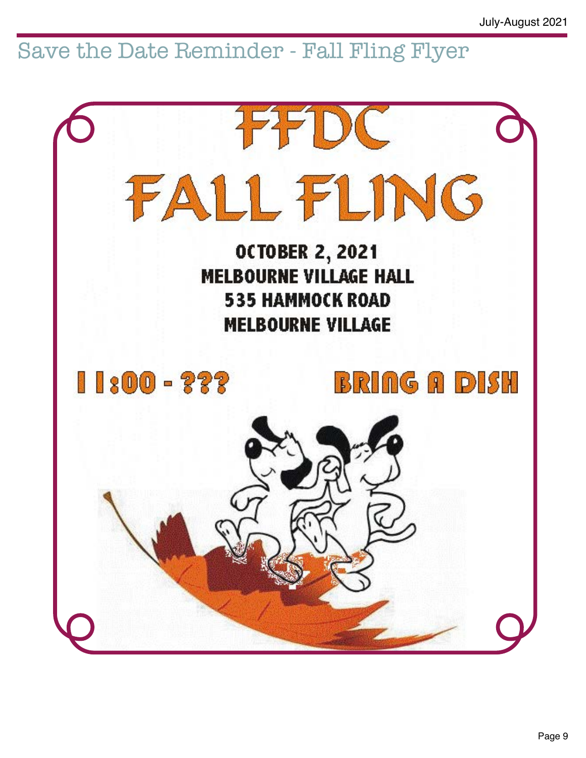### Save the Date Reminder - Fall Fling Flyer

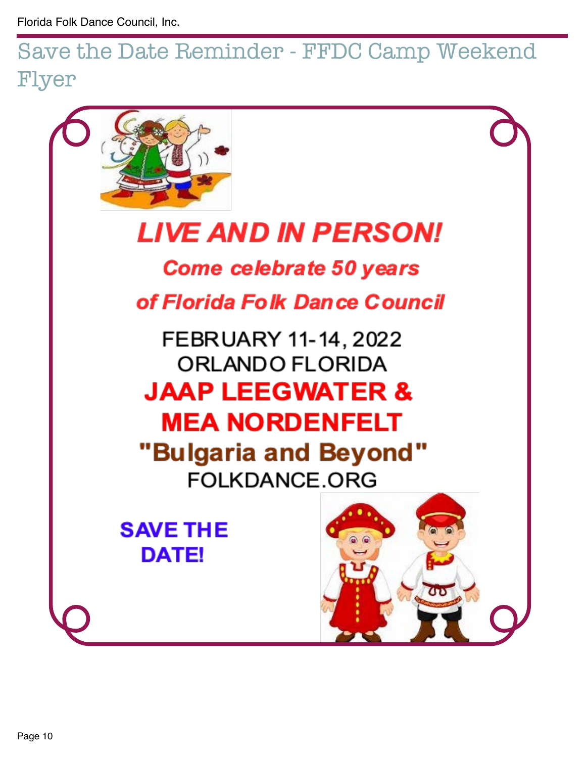Save the Date Reminder - FFDC Camp Weekend Flyer

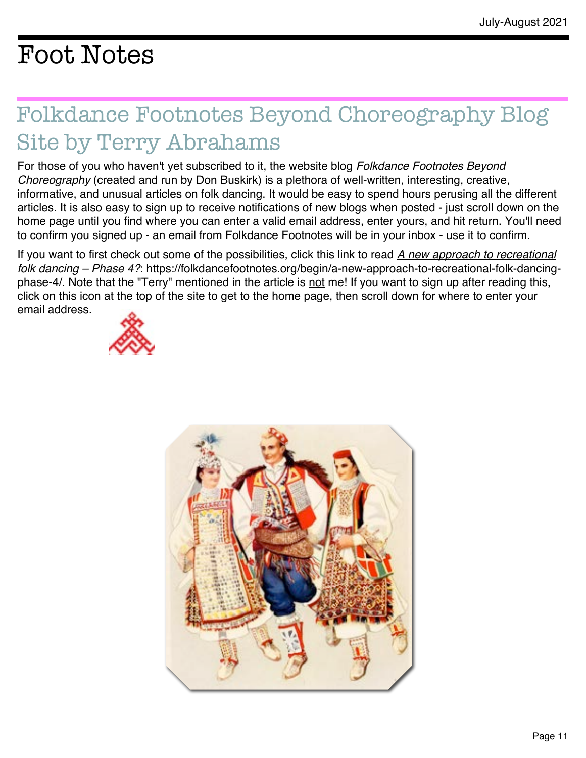## Foot Notes

## Folkdance Footnotes Beyond Choreography Blog Site by Terry Abrahams

For those of you who haven't yet subscribed to it, the website blog *Folkdance Footnotes Beyond Choreography* (created and run by Don Buskirk) is a plethora of well-written, interesting, creative, informative, and unusual articles on folk dancing. It would be easy to spend hours perusing all the different articles. It is also easy to sign up to receive notifications of new blogs when posted - just scroll down on the home page until you find where you can enter a valid email address, enter yours, and hit return. You'll need to confirm you signed up - an email from Folkdance Footnotes will be in your inbox - use it to confirm.

If you want to first check out some of the possibilities, click this link to read *A new approach to recreational folk dancing – Phase 4?*: [https://folkdancefootnotes.org/begin/a-new-approach-to-recreational-folk-dancing](https://folkdancefootnotes.org/begin/a-new-approach-to-recreational-folk-dancing-phase-4/%22%20%5Ct%20%2244tyCoamCQDpQ38o_K6jNfZ)[phase-4/.](https://folkdancefootnotes.org/begin/a-new-approach-to-recreational-folk-dancing-phase-4/%22%20%5Ct%20%2244tyCoamCQDpQ38o_K6jNfZ) Note that the "Terry" mentioned in the article is not me! If you want to sign up after reading this, click on this icon at the top of the site to get to the home page, then scroll down for where to enter your email address.



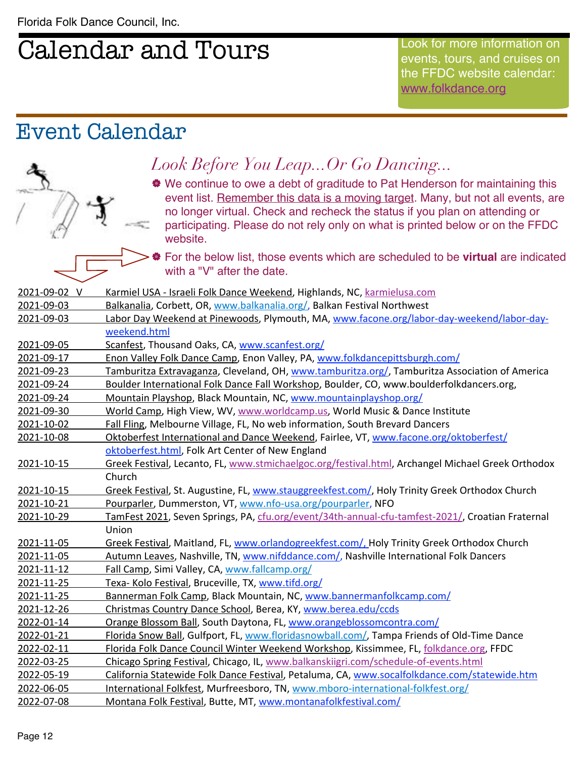## Calendar and Tours

Look for more information on events, tours, and cruises on the FFDC website calendar: [www.folkdance.org](http://www.folkdance.org)

#### Event Calendar

#### *Look Before You Leap...Or Go Dancing...*

| We continue to owe a debt of graditude to Pat Henderson for maintaining this event list. Remember this data is a moving target. Many, but not all events, are no longer virtual. Check and recheck the status if you plan on attending or participating. Please do not rely only on what is printed below or on the FFDC website.

| For the below list, those events which are scheduled to be **virtual** are indicated with a "V" after the date.

| 2021-09-02 V | Karmiel USA - Israeli Folk Dance Weekend, Highlands, NC, karmielusa.com                           |
|--------------|---------------------------------------------------------------------------------------------------|
| 2021-09-03   | Balkanalia, Corbett, OR, www.balkanalia.org/, Balkan Festival Northwest                           |
| 2021-09-03   | Labor Day Weekend at Pinewoods, Plymouth, MA, www.facone.org/labor-day-weekend/labor-day-         |
|              | weekend.html                                                                                      |
| 2021-09-05   | Scanfest, Thousand Oaks, CA, www.scanfest.org/                                                    |
| 2021-09-17   | Enon Valley Folk Dance Camp, Enon Valley, PA, www.folkdancepittsburgh.com/                        |
| 2021-09-23   | Tamburitza Extravaganza, Cleveland, OH, www.tamburitza.org/, Tamburitza Association of America    |
| 2021-09-24   | Boulder International Folk Dance Fall Workshop, Boulder, CO, www.boulderfolkdancers.org,          |
| 2021-09-24   | Mountain Playshop, Black Mountain, NC, www.mountainplayshop.org/                                  |
| 2021-09-30   | World Camp, High View, WV, www.worldcamp.us, World Music & Dance Institute                        |
| 2021-10-02   | Fall Fling, Melbourne Village, FL, No web information, South Brevard Dancers                      |
| 2021-10-08   | Oktoberfest International and Dance Weekend, Fairlee, VT, www.facone.org/oktoberfest/             |
|              | oktoberfest.html, Folk Art Center of New England                                                  |
| 2021-10-15   | Greek Festival, Lecanto, FL, www.stmichaelgoc.org/festival.html, Archangel Michael Greek Orthodox |
|              | Church                                                                                            |
| 2021-10-15   | Greek Festival, St. Augustine, FL, www.stauggreekfest.com/, Holy Trinity Greek Orthodox Church    |
| 2021-10-21   | Pourparler, Dummerston, VT, www.nfo-usa.org/pourparler, NFO                                       |
| 2021-10-29   | TamFest 2021, Seven Springs, PA, cfu.org/event/34th-annual-cfu-tamfest-2021/, Croatian Fraternal  |
|              | Union                                                                                             |
| 2021-11-05   | Greek Festival, Maitland, FL, www.orlandogreekfest.com/, Holy Trinity Greek Orthodox Church       |
| 2021-11-05   | Autumn Leaves, Nashville, TN, www.nifddance.com/, Nashville International Folk Dancers            |
| 2021-11-12   | Fall Camp, Simi Valley, CA, www.fallcamp.org/                                                     |
| 2021-11-25   | Texa- Kolo Festival, Bruceville, TX, www.tifd.org/                                                |
| 2021-11-25   | Bannerman Folk Camp, Black Mountain, NC, www.bannermanfolkcamp.com/                               |
| 2021-12-26   | Christmas Country Dance School, Berea, KY, www.berea.edu/ccds                                     |
| 2022-01-14   | Orange Blossom Ball, South Daytona, FL, www.orangeblossomcontra.com/                              |
| 2022-01-21   | Florida Snow Ball, Gulfport, FL, www.floridasnowball.com/, Tampa Friends of Old-Time Dance        |
| 2022-02-11   | Florida Folk Dance Council Winter Weekend Workshop, Kissimmee, FL, folkdance.org, FFDC            |
| 2022-03-25   | Chicago Spring Festival, Chicago, IL, www.balkanskiigri.com/schedule-of-events.html               |
| 2022-05-19   | California Statewide Folk Dance Festival, Petaluma, CA, www.socalfolkdance.com/statewide.htm      |
| 2022-06-05   | International Folkfest, Murfreesboro, TN, www.mboro-international-folkfest.org/                   |
| 2022-07-08   | Montana Folk Festival, Butte, MT, www.montanafolkfestival.com/                                    |
|              |                                                                                                   |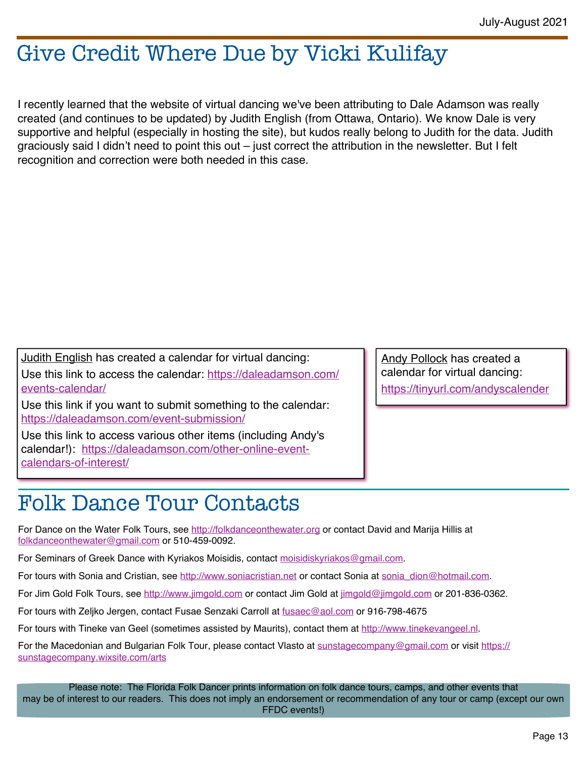### Give Credit Where Due by Vicki Kulifay

I recently learned that the website of virtual dancing we've been attributing to Dale Adamson was really created (and continues to be updated) by Judith English (from Ottawa, Ontario). We know Dale is very supportive and helpful (especially in hosting the site), but kudos really belong to Judith for the data. Judith graciously said I didn't need to point this out – just correct the attribution in the newsletter. But I felt recognition and correction were both needed in this case.

Judith English has created a calendar for virtual dancing: Use this link to access the calendar: [https://daleadamson.com/](https://daleadamson.com/events-calendar/) [events-calendar/](https://daleadamson.com/events-calendar/)

Use this link if you want to submit something to the calendar: <https://daleadamson.com/event-submission/>

Use this link to access various other items (including Andy's calendar!): [https://daleadamson.com/other-online-event](https://daleadamson.com/other-online-event-calendars-of-interest/)[calendars-of-interest/](https://daleadamson.com/other-online-event-calendars-of-interest/)

Andy Pollock has created a calendar for virtual dancing: <https://tinyurl.com/andyscalender>

### Folk Dance Tour Contacts

For Dance on the Water Folk Tours, see <http://folkdanceonthewater.org> or contact David and Marija Hillis at [folkdanceonthewater@gmail.com](mailto:folkdanceonthewater@gmail.com) or 510-459-0092.

For Seminars of Greek Dance with Kyriakos Moisidis, contact [moisidiskyriakos@gmail.com](mailto:moisidiskyriakos@gmail.com).

For tours with Sonia and Cristian, see <http://www.soniacristian.net> or contact Sonia at [sonia\\_dion@hotmail.com](mailto:sonia_dion@hotmail.com).

For Jim Gold Folk Tours, see <http://www.jimgold.com> or contact Jim Gold at [jimgold@jimgold.com](mailto:jimgold@jimgold.com) or 201-836-0362.

For tours with Zeljko Jergen, contact Fusae Senzaki Carroll at [fusaec@aol.com](mailto:fusaec@aol.com) or 916-798-4675

For tours with Tineke van Geel (sometimes assisted by Maurits), contact them at [http://www.tinekevangeel.nl.](https://tinekevangeel.us7.list-manage.com/track/click?u=e8e4191cccd1e843834c39f89&id=c74b493d11&e=b961ec0dde%22%20%5Ct%20%22_blank)

For the Macedonian and Bulgarian Folk Tour, please contact Vlasto at [sunstagecompany@gmail.com](mailto:sunstagecompany@gmail.com) or visit [https://](https://sunstagecompany.wixsite.com/arts) [sunstagecompany.wixsite.com/arts](https://sunstagecompany.wixsite.com/arts)

Please note: The Florida Folk Dancer prints information on folk dance tours, camps, and other events that may be of interest to our readers. This does not imply an endorsement or recommendation of any tour or camp (except our own FFDC events!)